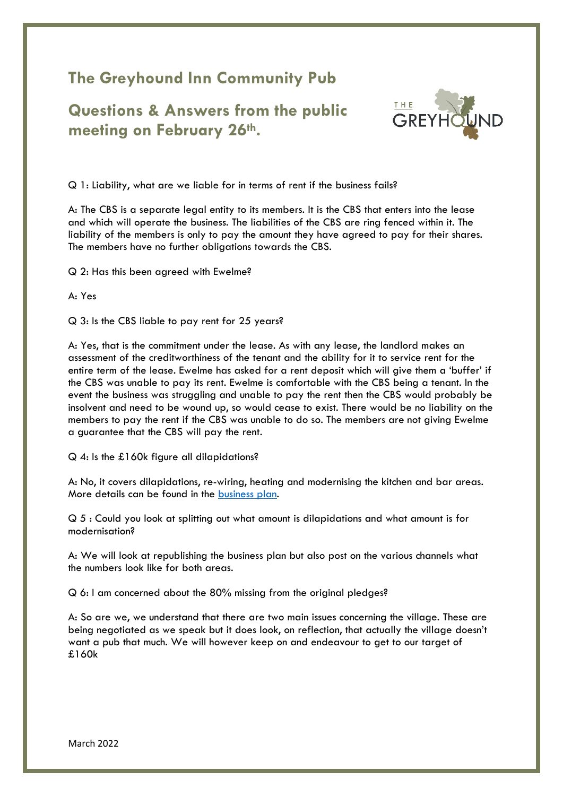## **The Greyhound Inn Community Pub**

**Questions & Answers from the public meeting on February 26th.**



Q 1: Liability, what are we liable for in terms of rent if the business fails?

A: The CBS is a separate legal entity to its members. It is the CBS that enters into the lease and which will operate the business. The liabilities of the CBS are ring fenced within it. The liability of the members is only to pay the amount they have agreed to pay for their shares. The members have no further obligations towards the CBS.

Q 2: Has this been agreed with Ewelme?

A: Yes

Q 3: Is the CBS liable to pay rent for 25 years?

A: Yes, that is the commitment under the lease. As with any lease, the landlord makes an assessment of the creditworthiness of the tenant and the ability for it to service rent for the entire term of the lease. Ewelme has asked for a rent deposit which will give them a 'buffer' if the CBS was unable to pay its rent. Ewelme is comfortable with the CBS being a tenant. In the event the business was struggling and unable to pay the rent then the CBS would probably be insolvent and need to be wound up, so would cease to exist. There would be no liability on the members to pay the rent if the CBS was unable to do so. The members are not giving Ewelme a guarantee that the CBS will pay the rent.

Q 4: Is the £160k figure all dilapidations?

A: No, it covers dilapidations, re-wiring, heating and modernising the kitchen and bar areas. More details can be found in the [business plan.](https://www.marshgibboncommunitypub.com/the-greyhound-community-share-offer/)

Q 5 : Could you look at splitting out what amount is dilapidations and what amount is for modernisation?

A: We will look at republishing the business plan but also post on the various channels what the numbers look like for both areas.

Q 6: I am concerned about the 80% missing from the original pledges?

A: So are we, we understand that there are two main issues concerning the village. These are being negotiated as we speak but it does look, on reflection, that actually the village doesn't want a pub that much. We will however keep on and endeavour to get to our target of £160k